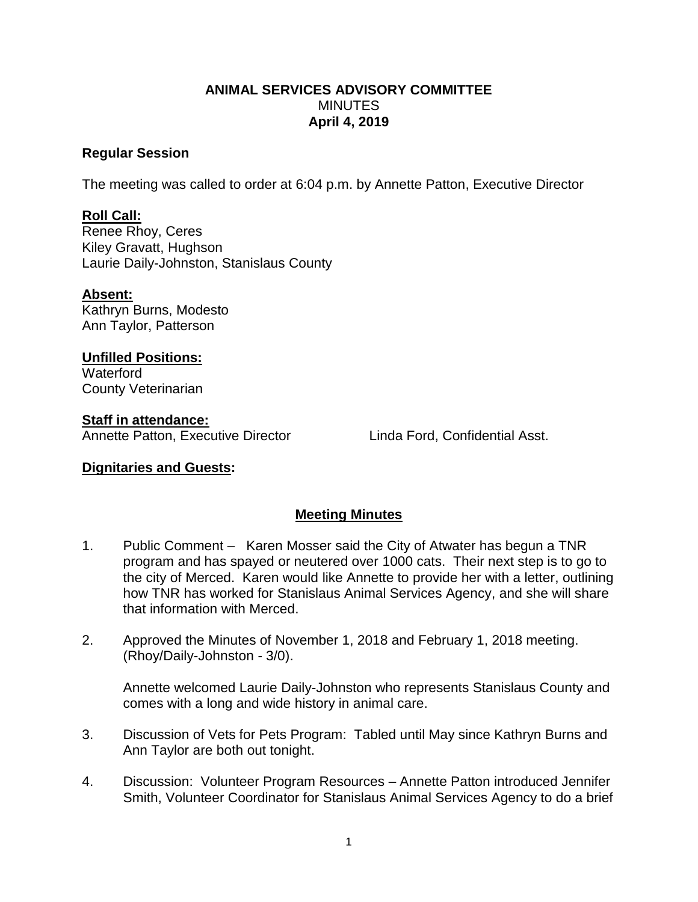### **ANIMAL SERVICES ADVISORY COMMITTEE MINUTES April 4, 2019**

### **Regular Session**

The meeting was called to order at 6:04 p.m. by Annette Patton, Executive Director

# **Roll Call:**

Renee Rhoy, Ceres Kiley Gravatt, Hughson Laurie Daily-Johnston, Stanislaus County

### **Absent:**

Kathryn Burns, Modesto Ann Taylor, Patterson

# **Unfilled Positions:**

**Waterford** County Veterinarian

# **Staff in attendance:**

Annette Patton, Executive Director Linda Ford, Confidential Asst.

## **Dignitaries and Guests:**

## **Meeting Minutes**

- 1. Public Comment Karen Mosser said the City of Atwater has begun a TNR program and has spayed or neutered over 1000 cats. Their next step is to go to the city of Merced. Karen would like Annette to provide her with a letter, outlining how TNR has worked for Stanislaus Animal Services Agency, and she will share that information with Merced.
- 2. Approved the Minutes of November 1, 2018 and February 1, 2018 meeting. (Rhoy/Daily-Johnston - 3/0).

Annette welcomed Laurie Daily-Johnston who represents Stanislaus County and comes with a long and wide history in animal care.

- 3. Discussion of Vets for Pets Program: Tabled until May since Kathryn Burns and Ann Taylor are both out tonight.
- 4. Discussion: Volunteer Program Resources Annette Patton introduced Jennifer Smith, Volunteer Coordinator for Stanislaus Animal Services Agency to do a brief